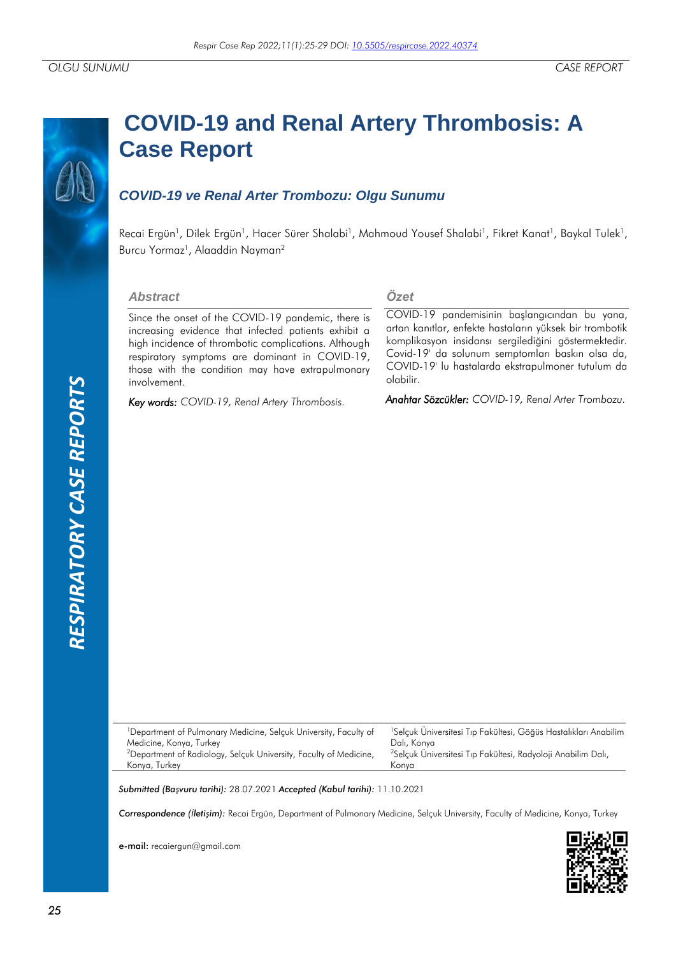# **RESPIRATORY CASE REPORTS** *RESPIRATORY CASE REPORTS*

# **COVID-19 and Renal Artery Thrombosis: A Case Report**

## *COVID-19 ve Renal Arter Trombozu: Olgu Sunumu*

Recai Ergün<sup>1</sup>, Dilek Ergün<sup>1</sup>, Hacer Sürer Shalabi<sup>1</sup>, Mahmoud Yousef Shalabi<sup>1</sup>, Fikret Kanat<sup>1</sup>, Baykal Tulek<sup>1</sup>, Burcu Yormaz<sup>1</sup>, Alaaddin Nayman<sup>2</sup>

### *Abstract*

Since the onset of the COVID-19 pandemic, there is increasing evidence that infected patients exhibit a high incidence of thrombotic complications. Although respiratory symptoms are dominant in COVID-19, those with the condition may have extrapulmonary involvement.

*Key words: COVID-19, Renal Artery Thrombosis.*

### *Özet*

COVID-19 pandemisinin başlangıcından bu yana, artan kanıtlar, enfekte hastaların yüksek bir trombotik komplikasyon insidansı sergilediğini göstermektedir. Covid-19' da solunum semptomları baskın olsa da, COVID-19' lu hastalarda ekstrapulmoner tutulum da olabilir.

*Anahtar Sözcükler: COVID-19, Renal Arter Trombozu.*

<sup>1</sup>Department of Pulmonary Medicine, Selçuk University, Faculty of Medicine, Konya, Turkey <sup>2</sup>Department of Radiology, Selçuk University, Faculty of Medicine, Konya, Turkey

e-mail: recaiergun@gmail.com

<sup>1</sup>Selçuk Üniversitesi Tıp Fakültesi, Göğüs Hastalıkları Anabilim Dalı, Konya <sup>2</sup>Selçuk Üniversitesi Tıp Fakültesi, Radyoloji Anabilim Dalı, Konya

*Submitted (Başvuru tarihi):* 28.07.2021 *Accepted (Kabul tarihi):* 11.10.2021

*Correspondence (İletişim):* Recai Ergün, Department of Pulmonary Medicine, Selçuk University, Faculty of Medicine, Konya, Turkey

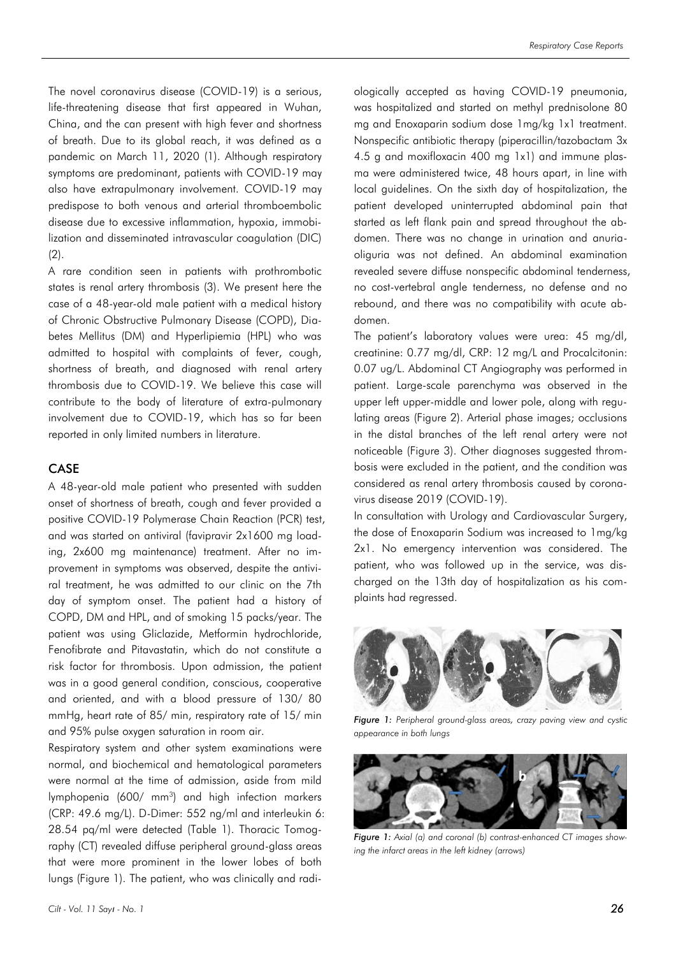The novel coronavirus disease (COVID-19) is a serious, life-threatening disease that first appeared in Wuhan, China, and the can present with high fever and shortness of breath. Due to its global reach, it was defined as a pandemic on March 11, 2020 (1). Although respiratory symptoms are predominant, patients with COVID-19 may also have extrapulmonary involvement. COVID-19 may predispose to both venous and arterial thromboembolic disease due to excessive inflammation, hypoxia, immobilization and disseminated intravascular coagulation (DIC)  $(2)$ .

A rare condition seen in patients with prothrombotic states is renal artery thrombosis (3). We present here the case of a 48-year-old male patient with a medical history of Chronic Obstructive Pulmonary Disease (COPD), Diabetes Mellitus (DM) and Hyperlipiemia (HPL) who was admitted to hospital with complaints of fever, cough, shortness of breath, and diagnosed with renal artery thrombosis due to COVID-19. We believe this case will contribute to the body of literature of extra-pulmonary involvement due to COVID-19, which has so far been reported in only limited numbers in literature.

### CASE

A 48-year-old male patient who presented with sudden onset of shortness of breath, cough and fever provided a positive COVID-19 Polymerase Chain Reaction (PCR) test, and was started on antiviral (favipravir 2x1600 mg loading, 2x600 mg maintenance) treatment. After no improvement in symptoms was observed, despite the antiviral treatment, he was admitted to our clinic on the 7th day of symptom onset. The patient had a history of COPD, DM and HPL, and of smoking 15 packs/year. The patient was using Gliclazide, Metformin hydrochloride, Fenofibrate and Pitavastatin, which do not constitute a risk factor for thrombosis. Upon admission, the patient was in a good general condition, conscious, cooperative and oriented, and with a blood pressure of 130/ 80 mmHg, heart rate of 85/ min, respiratory rate of 15/ min and 95% pulse oxygen saturation in room air.

Respiratory system and other system examinations were normal, and biochemical and hematological parameters were normal at the time of admission, aside from mild lymphopenia (600/ mm<sup>3</sup>) and high infection markers (CRP: 49.6 mg/L). D-Dimer: 552 ng/ml and interleukin 6: 28.54 pq/ml were detected (Table 1). Thoracic Tomography (CT) revealed diffuse peripheral ground-glass areas that were more prominent in the lower lobes of both lungs (Figure 1). The patient, who was clinically and radiologically accepted as having COVID-19 pneumonia, was hospitalized and started on methyl prednisolone 80 mg and Enoxaparin sodium dose 1mg/kg 1x1 treatment. Nonspecific antibiotic therapy (piperacillin/tazobactam 3x 4.5 g and moxifloxacin 400 mg 1x1) and immune plasma were administered twice, 48 hours apart, in line with local guidelines. On the sixth day of hospitalization, the patient developed uninterrupted abdominal pain that started as left flank pain and spread throughout the abdomen. There was no change in urination and anuriaoliguria was not defined. An abdominal examination revealed severe diffuse nonspecific abdominal tenderness, no cost-vertebral angle tenderness, no defense and no rebound, and there was no compatibility with acute abdomen.

The patient's laboratory values were urea: 45 mg/dl, creatinine: 0.77 mg/dl, CRP: 12 mg/L and Procalcitonin: 0.07 ug/L. Abdominal CT Angiography was performed in patient. Large-scale parenchyma was observed in the upper left upper-middle and lower pole, along with regulating areas (Figure 2). Arterial phase images; occlusions in the distal branches of the left renal artery were not noticeable (Figure 3). Other diagnoses suggested thrombosis were excluded in the patient, and the condition was considered as renal artery thrombosis caused by coronavirus disease 2019 (COVID-19).

In consultation with Urology and Cardiovascular Surgery, the dose of Enoxaparin Sodium was increased to 1mg/kg 2x1. No emergency intervention was considered. The patient, who was followed up in the service, was discharged on the 13th day of hospitalization as his complaints had regressed.



*Figure 1: Peripheral ground-glass areas, crazy paving view and cystic appearance in both lungs*



**Figure 1:** Axial (a) and coronal (b) contrast-enhanced CT images show*ing the infarct areas in the left kidney (arrows)*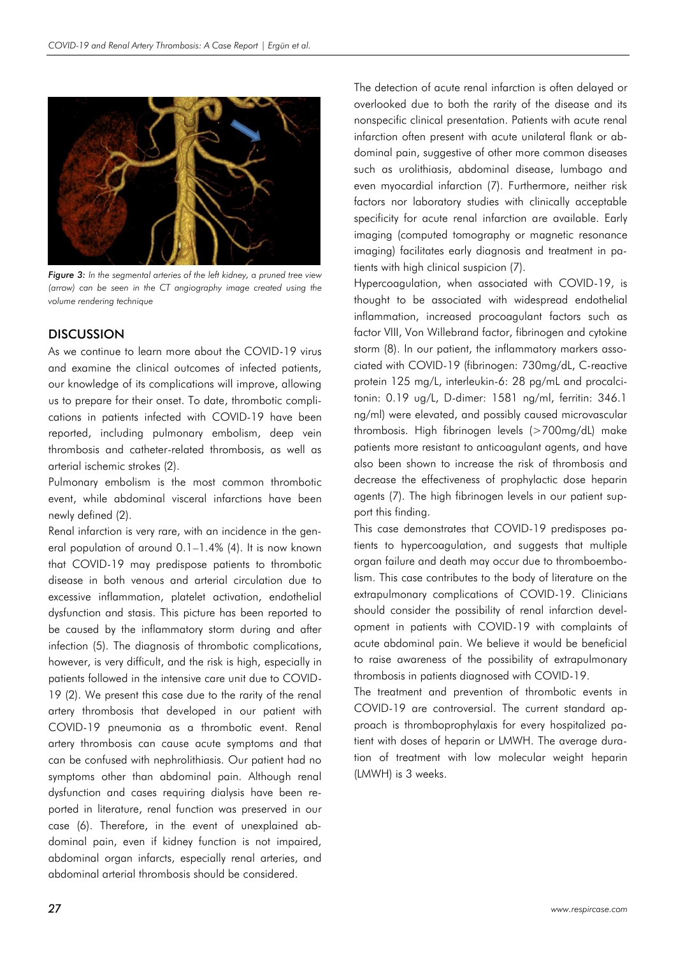

*Figure 3: In the segmental arteries of the left kidney, a pruned tree view (arrow) can be seen in the CT angiography image created using the volume rendering technique*

### **DISCUSSION**

As we continue to learn more about the COVID-19 virus and examine the clinical outcomes of infected patients, our knowledge of its complications will improve, allowing us to prepare for their onset. To date, thrombotic complications in patients infected with COVID-19 have been reported, including pulmonary embolism, deep vein thrombosis and catheter-related thrombosis, as well as arterial ischemic strokes (2).

Pulmonary embolism is the most common thrombotic event, while abdominal visceral infarctions have been newly defined (2).

Renal infarction is very rare, with an incidence in the general population of around 0.1–1.4% (4). It is now known that COVID-19 may predispose patients to thrombotic disease in both venous and arterial circulation due to excessive inflammation, platelet activation, endothelial dysfunction and stasis. This picture has been reported to be caused by the inflammatory storm during and after infection (5). The diagnosis of thrombotic complications, however, is very difficult, and the risk is high, especially in patients followed in the intensive care unit due to COVID-19 (2). We present this case due to the rarity of the renal artery thrombosis that developed in our patient with COVID-19 pneumonia as a thrombotic event. Renal artery thrombosis can cause acute symptoms and that can be confused with nephrolithiasis. Our patient had no symptoms other than abdominal pain. Although renal dysfunction and cases requiring dialysis have been reported in literature, renal function was preserved in our case (6). Therefore, in the event of unexplained abdominal pain, even if kidney function is not impaired, abdominal organ infarcts, especially renal arteries, and abdominal arterial thrombosis should be considered.

The detection of acute renal infarction is often delayed or overlooked due to both the rarity of the disease and its nonspecific clinical presentation. Patients with acute renal infarction often present with acute unilateral flank or abdominal pain, suggestive of other more common diseases such as urolithiasis, abdominal disease, lumbago and even myocardial infarction (7). Furthermore, neither risk factors nor laboratory studies with clinically acceptable specificity for acute renal infarction are available. Early imaging (computed tomography or magnetic resonance imaging) facilitates early diagnosis and treatment in patients with high clinical suspicion (7).

Hypercoagulation, when associated with COVID-19, is thought to be associated with widespread endothelial inflammation, increased procoagulant factors such as factor VIII, Von Willebrand factor, fibrinogen and cytokine storm (8). In our patient, the inflammatory markers associated with COVID-19 (fibrinogen: 730mg/dL, C-reactive protein 125 mg/L, interleukin-6: 28 pg/mL and procalcitonin: 0.19 ug/L, D-dimer: 1581 ng/ml, ferritin: 346.1 ng/ml) were elevated, and possibly caused microvascular thrombosis. High fibrinogen levels (>700mg/dL) make patients more resistant to anticoagulant agents, and have also been shown to increase the risk of thrombosis and decrease the effectiveness of prophylactic dose heparin agents (7). The high fibrinogen levels in our patient support this finding.

This case demonstrates that COVID-19 predisposes patients to hypercoagulation, and suggests that multiple organ failure and death may occur due to thromboembolism. This case contributes to the body of literature on the extrapulmonary complications of COVID-19. Clinicians should consider the possibility of renal infarction development in patients with COVID-19 with complaints of acute abdominal pain. We believe it would be beneficial to raise awareness of the possibility of extrapulmonary thrombosis in patients diagnosed with COVID-19.

The treatment and prevention of thrombotic events in COVID-19 are controversial. The current standard approach is thromboprophylaxis for every hospitalized patient with doses of heparin or LMWH. The average duration of treatment with low molecular weight heparin (LMWH) is 3 weeks.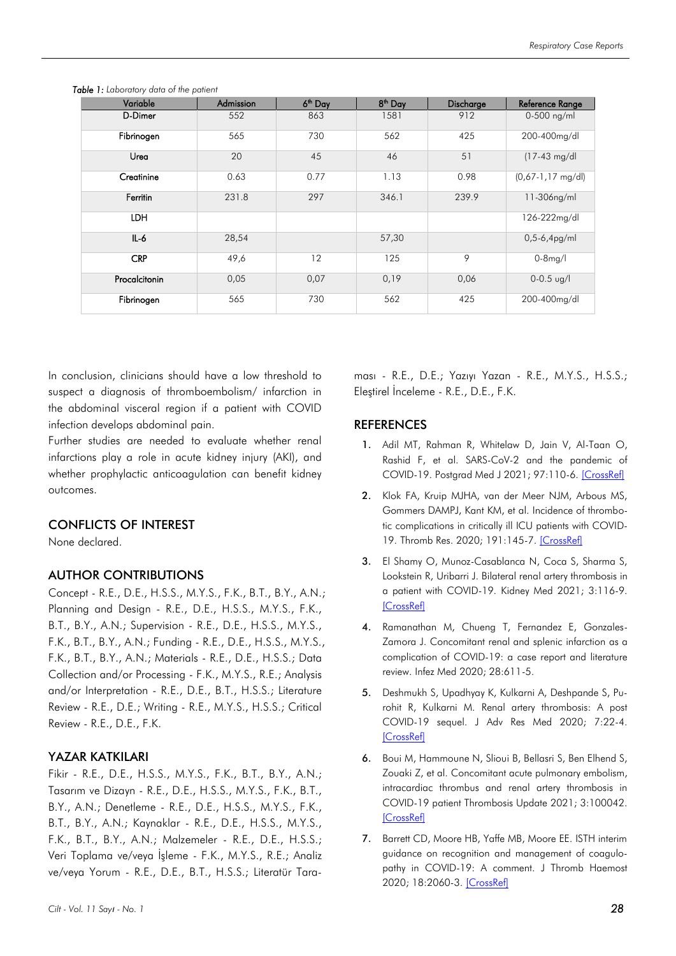| Variable      | Admission | 6 <sup>th</sup> Day | 8 <sup>th</sup> Day | Discharge | Reference Range             |
|---------------|-----------|---------------------|---------------------|-----------|-----------------------------|
| D-Dimer       | 552       | 863                 | 1581                | 912       | $0-500$ ng/ml               |
| Fibrinogen    | 565       | 730                 | 562                 | 425       | 200-400mg/dl                |
| Urea          | 20        | 45                  | 46                  | 51        | $(17-43 \text{ mg/d})$      |
| Creatinine    | 0.63      | 0.77                | 1.13                | 0.98      | $(0,67-1,17 \text{ mg/dl})$ |
| Ferritin      | 231.8     | 297                 | 346.1               | 239.9     | 11-306ng/ml                 |
| <b>LDH</b>    |           |                     |                     |           | 126-222mg/dl                |
| $IL-6$        | 28,54     |                     | 57,30               |           | $0,5-6,4pg/ml$              |
| <b>CRP</b>    | 49,6      | 12                  | 125                 | 9         | $0-8$ mg/l                  |
| Procalcitonin | 0,05      | 0,07                | 0,19                | 0,06      | $0-0.5$ ug/l                |
| Fibrinogen    | 565       | 730                 | 562                 | 425       | 200-400mg/dl                |

*Table 1: Laboratory data of the patient*

In conclusion, clinicians should have a low threshold to suspect a diagnosis of thromboembolism/ infarction in the abdominal visceral region if a patient with COVID infection develops abdominal pain.

Further studies are needed to evaluate whether renal infarctions play a role in acute kidney injury (AKI), and whether prophylactic anticoagulation can benefit kidney outcomes.

### CONFLICTS OF INTEREST

None declared.

### AUTHOR CONTRIBUTIONS

Concept - R.E., D.E., H.S.S., M.Y.S., F.K., B.T., B.Y., A.N.; Planning and Design - R.E., D.E., H.S.S., M.Y.S., F.K., B.T., B.Y., A.N.; Supervision - R.E., D.E., H.S.S., M.Y.S., F.K., B.T., B.Y., A.N.; Funding - R.E., D.E., H.S.S., M.Y.S., F.K., B.T., B.Y., A.N.; Materials - R.E., D.E., H.S.S.; Data Collection and/or Processing - F.K., M.Y.S., R.E.; Analysis and/or Interpretation - R.E., D.E., B.T., H.S.S.; Literature Review - R.E., D.E.; Writing - R.E., M.Y.S., H.S.S.; Critical Review - R.E., D.E., F.K.

### YAZAR KATKILARI

Fikir - R.E., D.E., H.S.S., M.Y.S., F.K., B.T., B.Y., A.N.; Tasarım ve Dizayn - R.E., D.E., H.S.S., M.Y.S., F.K., B.T., B.Y., A.N.; Denetleme - R.E., D.E., H.S.S., M.Y.S., F.K., B.T., B.Y., A.N.; Kaynaklar - R.E., D.E., H.S.S., M.Y.S., F.K., B.T., B.Y., A.N.; Malzemeler - R.E., D.E., H.S.S.; Veri Toplama ve/veya İşleme - F.K., M.Y.S., R.E.; Analiz ve/veya Yorum - R.E., D.E., B.T., H.S.S.; Literatür Tara**REFERENCES** 

Eleştirel İnceleme - R.E., D.E., F.K.

1. Adil MT, Rahman R, Whitelaw D, Jain V, Al-Taan O, Rashid F, et al. SARS-CoV-2 and the pandemic of COVID-19. Postgrad Med J 2021; 97:110-6. [\[CrossRef\]](https://doi.org/10.1136/postgradmedj-2020-138386)

ması - R.E., D.E.; Yazıyı Yazan - R.E., M.Y.S., H.S.S.;

- 2. Klok FA, Kruip MJHA, van der Meer NJM, Arbous MS, Gommers DAMPJ, Kant KM, et al. Incidence of thrombotic complications in critically ill ICU patients with COVID-19. Thromb Res. 2020; 191:145-7. [\[CrossRef\]](https://doi.org/10.1016/j.thromres.2020.04.013)
- 3. El Shamy O, Munoz-Casablanca N, Coca S, Sharma S, Lookstein R, Uribarri J. Bilateral renal artery thrombosis in a patient with COVID-19. Kidney Med 2021; 3:116-9. [\[CrossRef\]](https://doi.org/10.1016/j.xkme.2020.07.010)
- 4. Ramanathan M, Chueng T, Fernandez E, Gonzales-Zamora J. Concomitant renal and splenic infarction as a complication of COVID-19: a case report and literature review. Infez Med 2020; 28:611-5.
- 5. Deshmukh S, Upadhyay K, Kulkarni A, Deshpande S, Purohit R, Kulkarni M. Renal artery thrombosis: A post COVID-19 sequel. J Adv Res Med 2020; 7:22-4. [\[CrossRef\]](https://doi.org/10.24321/2349.7181.202009)
- 6. Boui M, Hammoune N, Slioui B, Bellasri S, Ben Elhend S, Zouaki Z, et al. Concomitant acute pulmonary embolism, intracardiac thrombus and renal artery thrombosis in COVID-19 patient Thrombosis Update 2021; 3:100042. [\[CrossRef\]](https://doi.org/10.1016/j.tru.2021.100042)
- 7. Barrett CD, Moore HB, Yaffe MB, Moore EE. ISTH interim guidance on recognition and management of coagulopathy in COVID-19: A comment. J Thromb Haemost 2020; 18:2060-3. [\[CrossRef\]](https://doi.org/10.1111/jth.14860)